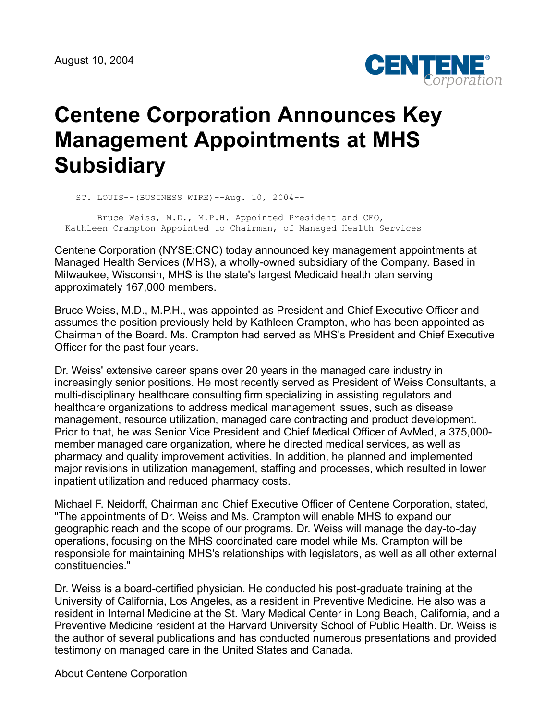

## **Centene Corporation Announces Key Management Appointments at MHS Subsidiary**

ST. LOUIS--(BUSINESS WIRE)--Aug. 10, 2004--

 Bruce Weiss, M.D., M.P.H. Appointed President and CEO, Kathleen Crampton Appointed to Chairman, of Managed Health Services

Centene Corporation (NYSE:CNC) today announced key management appointments at Managed Health Services (MHS), a wholly-owned subsidiary of the Company. Based in Milwaukee, Wisconsin, MHS is the state's largest Medicaid health plan serving approximately 167,000 members.

Bruce Weiss, M.D., M.P.H., was appointed as President and Chief Executive Officer and assumes the position previously held by Kathleen Crampton, who has been appointed as Chairman of the Board. Ms. Crampton had served as MHS's President and Chief Executive Officer for the past four years.

Dr. Weiss' extensive career spans over 20 years in the managed care industry in increasingly senior positions. He most recently served as President of Weiss Consultants, a multi-disciplinary healthcare consulting firm specializing in assisting regulators and healthcare organizations to address medical management issues, such as disease management, resource utilization, managed care contracting and product development. Prior to that, he was Senior Vice President and Chief Medical Officer of AvMed, a 375,000 member managed care organization, where he directed medical services, as well as pharmacy and quality improvement activities. In addition, he planned and implemented major revisions in utilization management, staffing and processes, which resulted in lower inpatient utilization and reduced pharmacy costs.

Michael F. Neidorff, Chairman and Chief Executive Officer of Centene Corporation, stated, "The appointments of Dr. Weiss and Ms. Crampton will enable MHS to expand our geographic reach and the scope of our programs. Dr. Weiss will manage the day-to-day operations, focusing on the MHS coordinated care model while Ms. Crampton will be responsible for maintaining MHS's relationships with legislators, as well as all other external constituencies."

Dr. Weiss is a board-certified physician. He conducted his post-graduate training at the University of California, Los Angeles, as a resident in Preventive Medicine. He also was a resident in Internal Medicine at the St. Mary Medical Center in Long Beach, California, and a Preventive Medicine resident at the Harvard University School of Public Health. Dr. Weiss is the author of several publications and has conducted numerous presentations and provided testimony on managed care in the United States and Canada.

About Centene Corporation